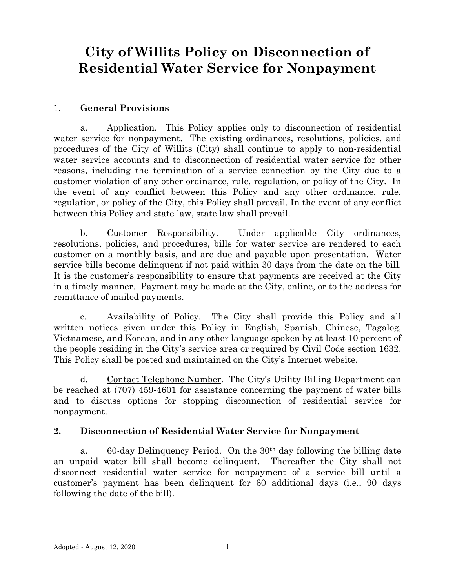# **City of Willits Policy on Disconnection of Residential Water Service for Nonpayment**

#### 1. **General Provisions**

a. Application. This Policy applies only to disconnection of residential water service for nonpayment. The existing ordinances, resolutions, policies, and procedures of the City of Willits (City) shall continue to apply to non-residential water service accounts and to disconnection of residential water service for other reasons, including the termination of a service connection by the City due to a customer violation of any other ordinance, rule, regulation, or policy of the City. In the event of any conflict between this Policy and any other ordinance, rule, regulation, or policy of the City, this Policy shall prevail. In the event of any conflict between this Policy and state law, state law shall prevail.

b. Customer Responsibility. Under applicable City ordinances, resolutions, policies, and procedures, bills for water service are rendered to each customer on a monthly basis, and are due and payable upon presentation. Water service bills become delinquent if not paid within 30 days from the date on the bill. It is the customer's responsibility to ensure that payments are received at the City in a timely manner. Payment may be made at the City, online, or to the address for remittance of mailed payments.

c. Availability of Policy. The City shall provide this Policy and all written notices given under this Policy in English, Spanish, Chinese, Tagalog, Vietnamese, and Korean, and in any other language spoken by at least 10 percent of the people residing in the City's service area or required by Civil Code section 1632. This Policy shall be posted and maintained on the City's Internet website.

d. Contact Telephone Number. The City's Utility Billing Department can be reached at (707) 459-4601 for assistance concerning the payment of water bills and to discuss options for stopping disconnection of residential service for nonpayment.

#### **2. Disconnection of Residential Water Service for Nonpayment**

a. 60-day Delinquency Period. On the 30th day following the billing date an unpaid water bill shall become delinquent. Thereafter the City shall not disconnect residential water service for nonpayment of a service bill until a customer's payment has been delinquent for 60 additional days (i.e., 90 days following the date of the bill).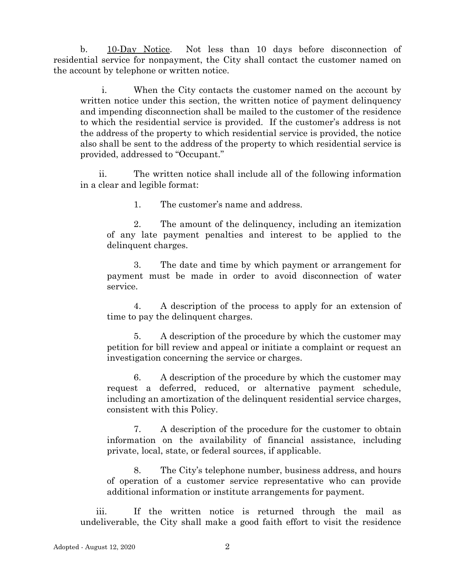b. 10-Day Notice. Not less than 10 days before disconnection of residential service for nonpayment, the City shall contact the customer named on the account by telephone or written notice.

i. When the City contacts the customer named on the account by written notice under this section, the written notice of payment delinquency and impending disconnection shall be mailed to the customer of the residence to which the residential service is provided. If the customer's address is not the address of the property to which residential service is provided, the notice also shall be sent to the address of the property to which residential service is provided, addressed to "Occupant."

ii. The written notice shall include all of the following information in a clear and legible format:

1. The customer's name and address.

2. The amount of the delinquency, including an itemization of any late payment penalties and interest to be applied to the delinquent charges.

3. The date and time by which payment or arrangement for payment must be made in order to avoid disconnection of water service.

4. A description of the process to apply for an extension of time to pay the delinquent charges.

5. A description of the procedure by which the customer may petition for bill review and appeal or initiate a complaint or request an investigation concerning the service or charges.

6. A description of the procedure by which the customer may request a deferred, reduced, or alternative payment schedule, including an amortization of the delinquent residential service charges, consistent with this Policy.

7. A description of the procedure for the customer to obtain information on the availability of financial assistance, including private, local, state, or federal sources, if applicable.

8. The City's telephone number, business address, and hours of operation of a customer service representative who can provide additional information or institute arrangements for payment.

iii. If the written notice is returned through the mail as undeliverable, the City shall make a good faith effort to visit the residence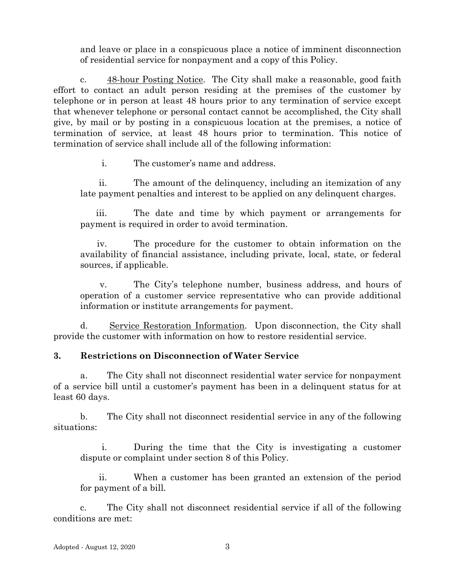and leave or place in a conspicuous place a notice of imminent disconnection of residential service for nonpayment and a copy of this Policy.

c. 48-hour Posting Notice. The City shall make a reasonable, good faith effort to contact an adult person residing at the premises of the customer by telephone or in person at least 48 hours prior to any termination of service except that whenever telephone or personal contact cannot be accomplished, the City shall give, by mail or by posting in a conspicuous location at the premises, a notice of termination of service, at least 48 hours prior to termination. This notice of termination of service shall include all of the following information:

i. The customer's name and address.

ii. The amount of the delinquency, including an itemization of any late payment penalties and interest to be applied on any delinquent charges.

iii. The date and time by which payment or arrangements for payment is required in order to avoid termination.

iv. The procedure for the customer to obtain information on the availability of financial assistance, including private, local, state, or federal sources, if applicable.

v. The City's telephone number, business address, and hours of operation of a customer service representative who can provide additional information or institute arrangements for payment.

d. Service Restoration Information. Upon disconnection, the City shall provide the customer with information on how to restore residential service.

## **3. Restrictions on Disconnection of Water Service**

a. The City shall not disconnect residential water service for nonpayment of a service bill until a customer's payment has been in a delinquent status for at least 60 days.

b. The City shall not disconnect residential service in any of the following situations:

i. During the time that the City is investigating a customer dispute or complaint under section 8 of this Policy.

ii. When a customer has been granted an extension of the period for payment of a bill.

c. The City shall not disconnect residential service if all of the following conditions are met: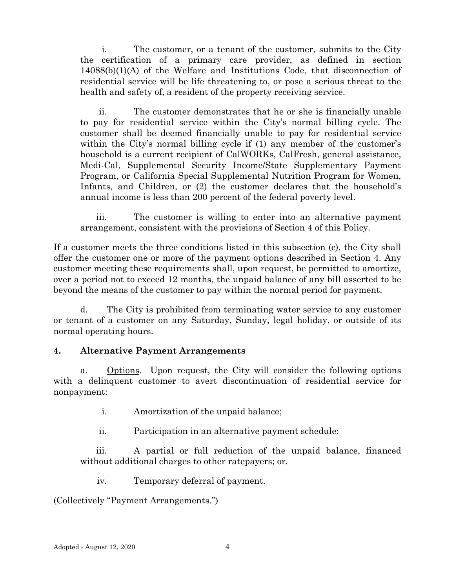i. The customer, or a tenant of the customer, submits to the City the certification of a primary care provider, as defined in section 14088(b)(1)(A) of the Welfare and Institutions Code, that disconnection of residential service will be life threatening to, or pose a serious threat to the health and safety of, a resident of the property receiving service.

ii. The customer demonstrates that he or she is financially unable to pay for residential service within the City's normal billing cycle. The customer shall be deemed financially unable to pay for residential service within the City's normal billing cycle if (1) any member of the customer's household is a current recipient of CalWORKs, CalFresh, general assistance, Medi-Cal, Supplemental Security Income/State Supplementary Payment Program, or California Special Supplemental Nutrition Program for Women, Infants, and Children, or (2) the customer declares that the household's annual income is less than 200 percent of the federal poverty level.

iii. The customer is willing to enter into an alternative payment arrangement, consistent with the provisions of Section 4 of this Policy.

If a customer meets the three conditions listed in this subsection (c), the City shall offer the customer one or more of the payment options described in Section 4. Any customer meeting these requirements shall, upon request, be permitted to amortize, over a period not to exceed 12 months, the unpaid balance of any bill asserted to be beyond the means of the customer to pay within the normal period for payment.

d. The City is prohibited from terminating water service to any customer or tenant of a customer on any Saturday, Sunday, legal holiday, or outside of its normal operating hours.

## **4. Alternative Payment Arrangements**

a. Options. Upon request, the City will consider the following options with a delinquent customer to avert discontinuation of residential service for nonpayment:

i. Amortization of the unpaid balance;

ii. Participation in an alternative payment schedule;

iii. A partial or full reduction of the unpaid balance, financed without additional charges to other ratepayers; or.

iv. Temporary deferral of payment.

(Collectively "Payment Arrangements.")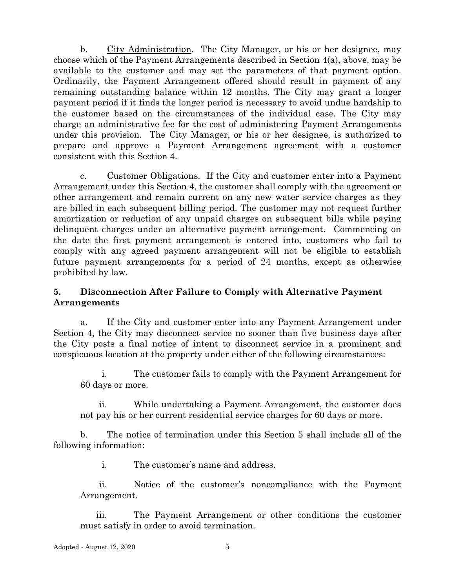b. City Administration. The City Manager, or his or her designee, may choose which of the Payment Arrangements described in Section 4(a), above, may be available to the customer and may set the parameters of that payment option. Ordinarily, the Payment Arrangement offered should result in payment of any remaining outstanding balance within 12 months. The City may grant a longer payment period if it finds the longer period is necessary to avoid undue hardship to the customer based on the circumstances of the individual case. The City may charge an administrative fee for the cost of administering Payment Arrangements under this provision. The City Manager, or his or her designee, is authorized to prepare and approve a Payment Arrangement agreement with a customer consistent with this Section 4.

c. Customer Obligations. If the City and customer enter into a Payment Arrangement under this Section 4, the customer shall comply with the agreement or other arrangement and remain current on any new water service charges as they are billed in each subsequent billing period. The customer may not request further amortization or reduction of any unpaid charges on subsequent bills while paying delinquent charges under an alternative payment arrangement. Commencing on the date the first payment arrangement is entered into, customers who fail to comply with any agreed payment arrangement will not be eligible to establish future payment arrangements for a period of 24 months, except as otherwise prohibited by law.

#### **5. Disconnection After Failure to Comply with Alternative Payment Arrangements**

a. If the City and customer enter into any Payment Arrangement under Section 4, the City may disconnect service no sooner than five business days after the City posts a final notice of intent to disconnect service in a prominent and conspicuous location at the property under either of the following circumstances:

i. The customer fails to comply with the Payment Arrangement for 60 days or more.

ii. While undertaking a Payment Arrangement, the customer does not pay his or her current residential service charges for 60 days or more.

b. The notice of termination under this Section 5 shall include all of the following information:

i. The customer's name and address.

ii. Notice of the customer's noncompliance with the Payment Arrangement.

iii. The Payment Arrangement or other conditions the customer must satisfy in order to avoid termination.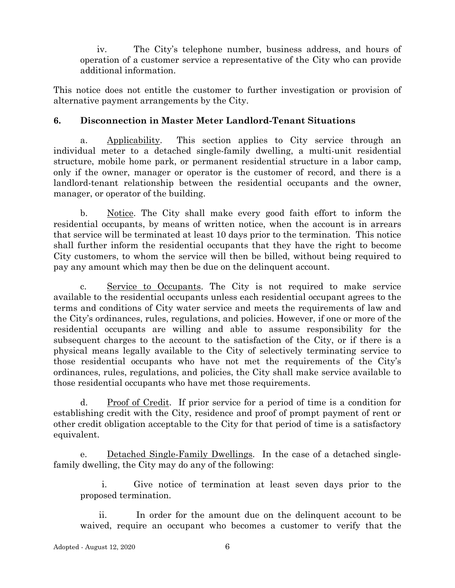iv. The City's telephone number, business address, and hours of operation of a customer service a representative of the City who can provide additional information.

This notice does not entitle the customer to further investigation or provision of alternative payment arrangements by the City.

# **6. Disconnection in Master Meter Landlord-Tenant Situations**

a. Applicability. This section applies to City service through an individual meter to a detached single-family dwelling, a multi-unit residential structure, mobile home park, or permanent residential structure in a labor camp, only if the owner, manager or operator is the customer of record, and there is a landlord-tenant relationship between the residential occupants and the owner, manager, or operator of the building.

b. Notice. The City shall make every good faith effort to inform the residential occupants, by means of written notice, when the account is in arrears that service will be terminated at least 10 days prior to the termination. This notice shall further inform the residential occupants that they have the right to become City customers, to whom the service will then be billed, without being required to pay any amount which may then be due on the delinquent account.

c. Service to Occupants. The City is not required to make service available to the residential occupants unless each residential occupant agrees to the terms and conditions of City water service and meets the requirements of law and the City's ordinances, rules, regulations, and policies. However, if one or more of the residential occupants are willing and able to assume responsibility for the subsequent charges to the account to the satisfaction of the City, or if there is a physical means legally available to the City of selectively terminating service to those residential occupants who have not met the requirements of the City's ordinances, rules, regulations, and policies, the City shall make service available to those residential occupants who have met those requirements.

d. Proof of Credit. If prior service for a period of time is a condition for establishing credit with the City, residence and proof of prompt payment of rent or other credit obligation acceptable to the City for that period of time is a satisfactory equivalent.

e. Detached Single-Family Dwellings. In the case of a detached singlefamily dwelling, the City may do any of the following:

i. Give notice of termination at least seven days prior to the proposed termination.

ii. In order for the amount due on the delinquent account to be waived, require an occupant who becomes a customer to verify that the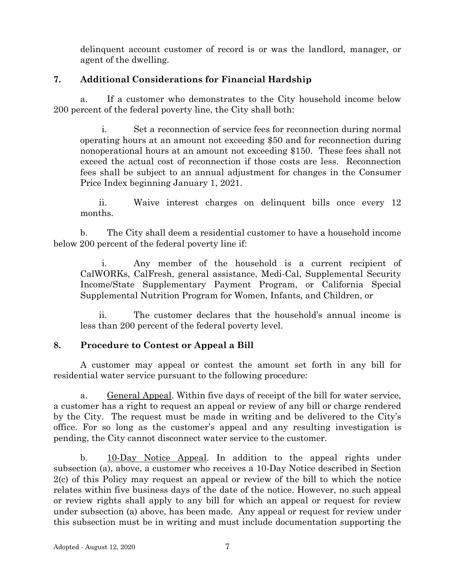delinquent account customer of record is or was the landlord, manager, or agent of the dwelling.

# **7. Additional Considerations for Financial Hardship**

a. If a customer who demonstrates to the City household income below 200 percent of the federal poverty line, the City shall both:

i. Set a reconnection of service fees for reconnection during normal operating hours at an amount not exceeding \$50 and for reconnection during nonoperational hours at an amount not exceeding \$150. These fees shall not exceed the actual cost of reconnection if those costs are less. Reconnection fees shall be subject to an annual adjustment for changes in the Consumer Price Index beginning January 1, 2021.

ii. Waive interest charges on delinquent bills once every 12 months.

b. The City shall deem a residential customer to have a household income below 200 percent of the federal poverty line if:

i. Any member of the household is a current recipient of CalWORKs, CalFresh, general assistance, Medi-Cal, Supplemental Security Income/State Supplementary Payment Program, or California Special Supplemental Nutrition Program for Women, Infants, and Children, or

ii. The customer declares that the household's annual income is less than 200 percent of the federal poverty level.

## **8. Procedure to Contest or Appeal a Bill**

A customer may appeal or contest the amount set forth in any bill for residential water service pursuant to the following procedure:

a. General Appeal. Within five days of receipt of the bill for water service, a customer has a right to request an appeal or review of any bill or charge rendered by the City. The request must be made in writing and be delivered to the City's office. For so long as the customer's appeal and any resulting investigation is pending, the City cannot disconnect water service to the customer.

b. 10-Day Notice Appeal. In addition to the appeal rights under subsection (a), above, a customer who receives a 10-Day Notice described in Section 2(c) of this Policy may request an appeal or review of the bill to which the notice relates within five business days of the date of the notice. However, no such appeal or review rights shall apply to any bill for which an appeal or request for review under subsection (a) above, has been made. Any appeal or request for review under this subsection must be in writing and must include documentation supporting the